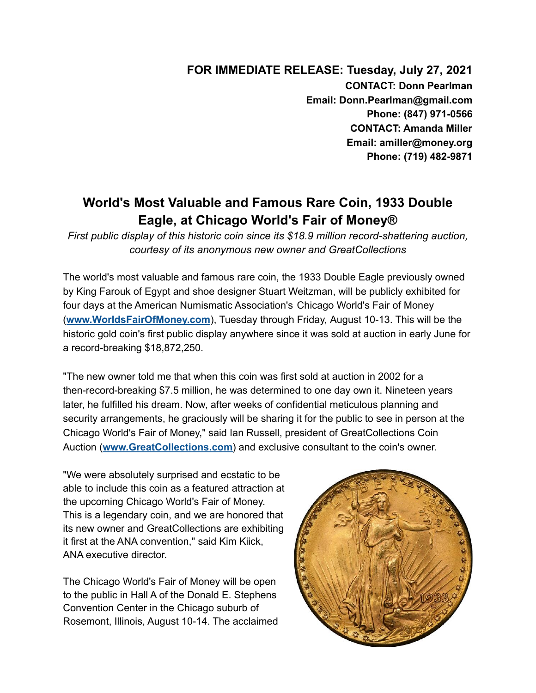**FOR IMMEDIATE RELEASE: Tuesday, July 27, 2021 CONTACT: Donn Pearlman Email: Donn.Pearlman@gmail.com Phone: (847) 971-0566 CONTACT: Amanda Miller Email: amiller@money.org Phone: (719) 482-9871**

## **World's Most Valuable and Famous Rare Coin, 1933 Double Eagle, at Chicago World's Fair of Money®**

*First public display of this historic coin since its \$18.9 million record-shattering auction, courtesy of its anonymous new owner and GreatCollections*

The world's most valuable and famous rare coin, the 1933 Double Eagle previously owned by King Farouk of Egypt and shoe designer Stuart Weitzman, will be publicly exhibited for four days at the American Numismatic Association's Chicago World's Fair of Money (**[www.WorldsFairOfMoney.com](https://www.money.org/worldsfairofmoney?utm_source=hs_email&utm_medium=email&_hsenc=p2ANqtz-8BK1l43KQIQPCeH3cXFmUw0jjpMTPGuuuI9YXM-qV-PemR8OutcgjsSNik_mpprNVHk2-U)**), Tuesday through Friday, August 10-13. This will be the historic gold coin's first public display anywhere since it was sold at auction in early June for a record-breaking \$18,872,250.

"The new owner told me that when this coin was first sold at auction in 2002 for a then-record-breaking \$7.5 million, he was determined to one day own it. Nineteen years later, he fulfilled his dream. Now, after weeks of confidential meticulous planning and security arrangements, he graciously will be sharing it for the public to see in person at the Chicago World's Fair of Money," said Ian Russell, president of GreatCollections Coin Auction (**[www.GreatCollections.com](https://www.greatcollections.com/?utm_source=hs_email&utm_medium=email&_hsenc=p2ANqtz-8BK1l43KQIQPCeH3cXFmUw0jjpMTPGuuuI9YXM-qV-PemR8OutcgjsSNik_mpprNVHk2-U)**) and exclusive consultant to the coin's owner.

"We were absolutely surprised and ecstatic to be able to include this coin as a featured attraction at the upcoming Chicago World's Fair of Money. This is a legendary coin, and we are honored that its new owner and GreatCollections are exhibiting it first at the ANA convention," said Kim Kiick, ANA executive director.

The Chicago World's Fair of Money will be open to the public in Hall A of the Donald E. Stephens Convention Center in the Chicago suburb of Rosemont, Illinois, August 10-14. The acclaimed